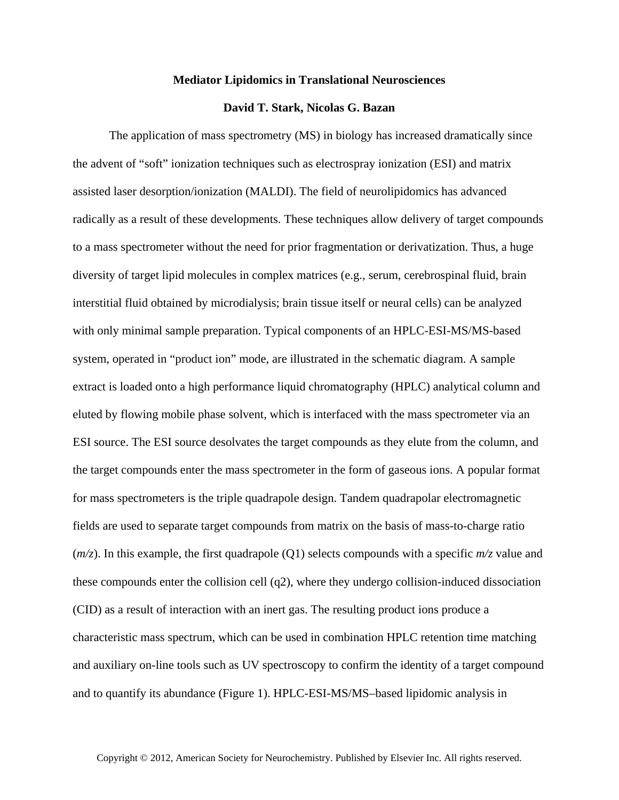## **Mediator Lipidomics in Translational Neurosciences**

## **David T. Stark, Nicolas G. Bazan**

The application of mass spectrometry (MS) in biology has increased dramatically since the advent of "soft" ionization techniques such as electrospray ionization (ESI) and matrix assisted laser desorption/ionization (MALDI). The field of neurolipidomics has advanced radically as a result of these developments. These techniques allow delivery of target compounds to a mass spectrometer without the need for prior fragmentation or derivatization. Thus, a huge diversity of target lipid molecules in complex matrices (e.g., serum, cerebrospinal fluid, brain interstitial fluid obtained by microdialysis; brain tissue itself or neural cells) can be analyzed with only minimal sample preparation. Typical components of an HPLC-ESI-MS/MS-based system, operated in "product ion" mode, are illustrated in the schematic diagram. A sample extract is loaded onto a high performance liquid chromatography (HPLC) analytical column and eluted by flowing mobile phase solvent, which is interfaced with the mass spectrometer via an ESI source. The ESI source desolvates the target compounds as they elute from the column, and the target compounds enter the mass spectrometer in the form of gaseous ions. A popular format for mass spectrometers is the triple quadrapole design. Tandem quadrapolar electromagnetic fields are used to separate target compounds from matrix on the basis of mass-to-charge ratio (*m/z*). In this example, the first quadrapole (Q1) selects compounds with a specific *m/z* value and these compounds enter the collision cell (q2), where they undergo collision-induced dissociation (CID) as a result of interaction with an inert gas. The resulting product ions produce a characteristic mass spectrum, which can be used in combination HPLC retention time matching and auxiliary on-line tools such as UV spectroscopy to confirm the identity of a target compound and to quantify its abundance (Figure 1). HPLC-ESI-MS/MS–based lipidomic analysis in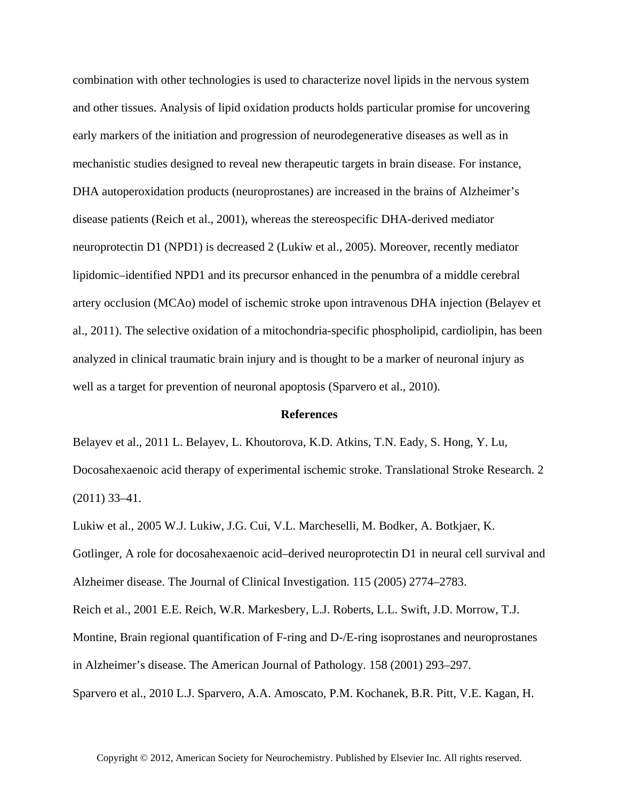combination with other technologies is used to characterize novel lipids in the nervous system and other tissues. Analysis of lipid oxidation products holds particular promise for uncovering early markers of the initiation and progression of neurodegenerative diseases as well as in mechanistic studies designed to reveal new therapeutic targets in brain disease. For instance, DHA autoperoxidation products (neuroprostanes) are increased in the brains of Alzheimer's disease patients (Reich et al., 2001), whereas the stereospecific DHA-derived mediator neuroprotectin D1 (NPD1) is decreased 2 (Lukiw et al., 2005). Moreover, recently mediator lipidomic–identified NPD1 and its precursor enhanced in the penumbra of a middle cerebral artery occlusion (MCAo) model of ischemic stroke upon intravenous DHA injection (Belayev et al., 2011). The selective oxidation of a mitochondria-specific phospholipid, cardiolipin, has been analyzed in clinical traumatic brain injury and is thought to be a marker of neuronal injury as well as a target for prevention of neuronal apoptosis (Sparvero et al., 2010).

## **References**

Belayev et al., 2011 L. Belayev, L. Khoutorova, K.D. Atkins, T.N. Eady, S. Hong, Y. Lu, Docosahexaenoic acid therapy of experimental ischemic stroke. Translational Stroke Research. 2 (2011) 33–41.

Lukiw et al., 2005 W.J. Lukiw, J.G. Cui, V.L. Marcheselli, M. Bodker, A. Botkjaer, K. Gotlinger, A role for docosahexaenoic acid–derived neuroprotectin D1 in neural cell survival and Alzheimer disease. The Journal of Clinical Investigation. 115 (2005) 2774–2783. Reich et al., 2001 E.E. Reich, W.R. Markesbery, L.J. Roberts, L.L. Swift, J.D. Morrow, T.J. Montine, Brain regional quantification of F-ring and D-/E-ring isoprostanes and neuroprostanes in Alzheimer's disease. The American Journal of Pathology. 158 (2001) 293–297. Sparvero et al., 2010 L.J. Sparvero, A.A. Amoscato, P.M. Kochanek, B.R. Pitt, V.E. Kagan, H.